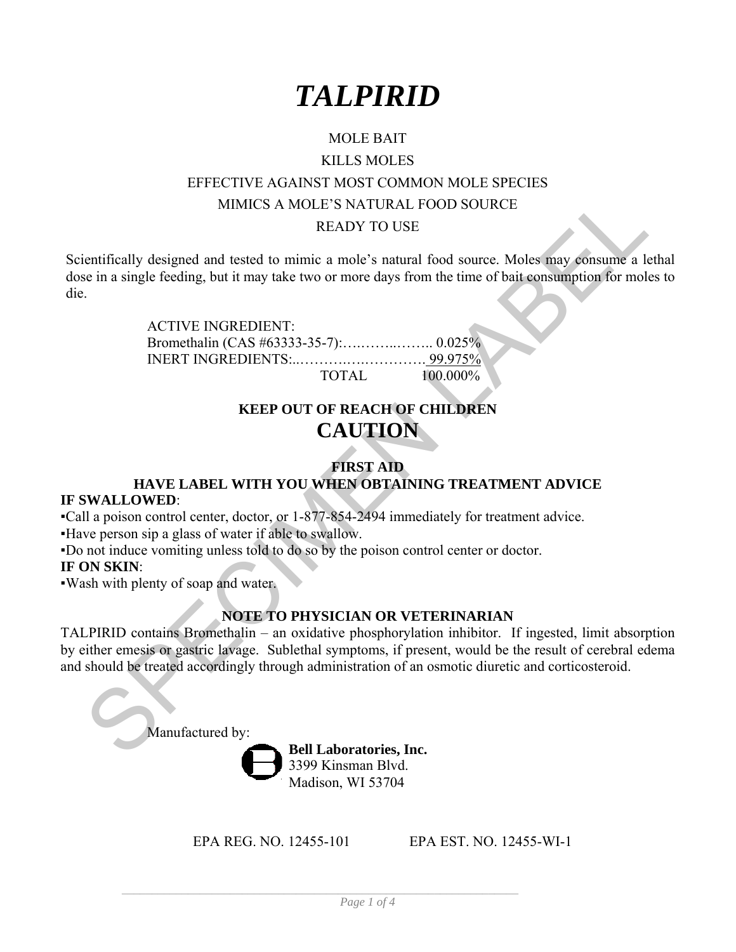

# MOLE BAIT KILLS MOLES EFFECTIVE AGAINST MOST COMMON MOLE SPECIES MIMICS A MOLE'S NATURAL FOOD SOURCE READY TO USE

Scientifically designed and tested to mimic a mole's natural food source. Moles may consume a lethal dose in a single feeding, but it may take two or more days from the time of bait consumption for moles to die.

> ACTIVE INGREDIENT: Bromethalin (CAS #63333-35-7):….……..…….. 0.025% INERT INGREDIENTS:..……….….…………. 99.975% TOTAL 100.000%

# **KEEP OUT OF REACH OF CHILDREN CAUTION**

## **FIRST AID HAVE LABEL WITH YOU WHEN OBTAINING TREATMENT ADVICE**

#### **IF SWALLOWED**:

▪Call a poison control center, doctor, or 1-877-854-2494 immediately for treatment advice.

▪Have person sip a glass of water if able to swallow.

▪Do not induce vomiting unless told to do so by the poison control center or doctor.

#### **IF ON SKIN**:

▪Wash with plenty of soap and water.

#### **NOTE TO PHYSICIAN OR VETERINARIAN**

MIMICS A MOLE'S NATURAL FOOD SOURCE<br>
READY TO USE<br>
entifically designed and tested to mimic a mole's natural food source. Moles may consume a let<br>
be in a single feeding, but it may take two or more days from the time of b TALPIRID contains Bromethalin – an oxidative phosphorylation inhibitor. If ingested, limit absorption by either emesis or gastric lavage. Sublethal symptoms, if present, would be the result of cerebral edema and should be treated accordingly through administration of an osmotic diuretic and corticosteroid.

Manufactured by:

**Bell Laboratories, Inc.**  3399 Kinsman Blvd. Madison, WI 53704

EPA REG. NO. 12455-101 EPA EST. NO. 12455-WI-1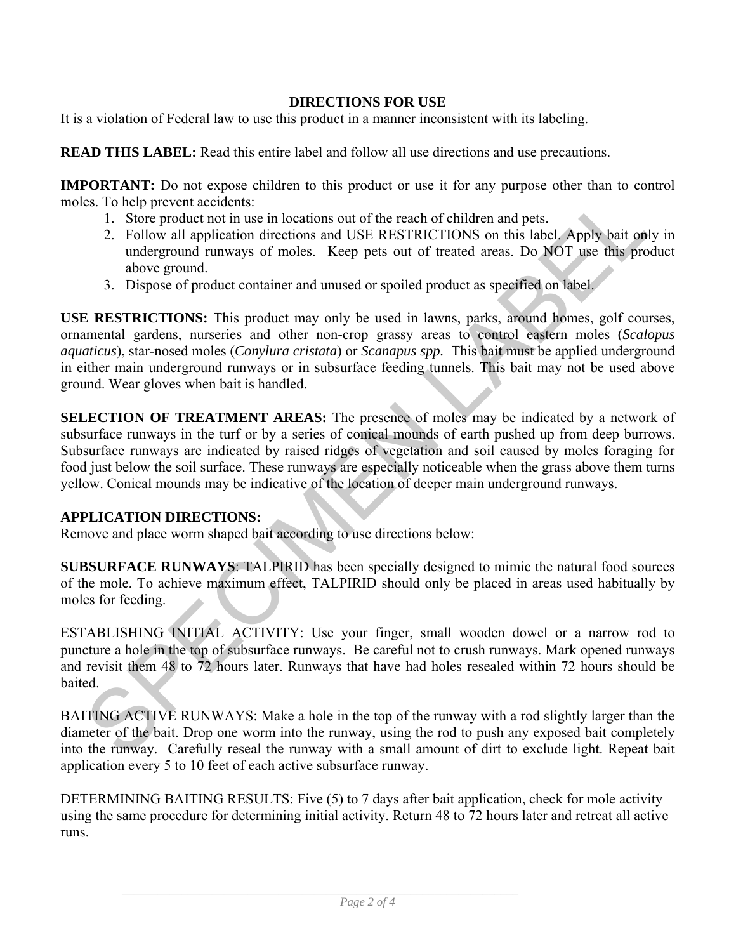## **DIRECTIONS FOR USE**

It is a violation of Federal law to use this product in a manner inconsistent with its labeling.

**READ THIS LABEL:** Read this entire label and follow all use directions and use precautions.

**IMPORTANT:** Do not expose children to this product or use it for any purpose other than to control moles. To help prevent accidents:

- 1. Store product not in use in locations out of the reach of children and pets.
- 2. Follow all application directions and USE RESTRICTIONS on this label. Apply bait only in underground runways of moles. Keep pets out of treated areas. Do NOT use this product above ground.
- 3. Dispose of product container and unused or spoiled product as specified on label.

**USE RESTRICTIONS:** This product may only be used in lawns, parks, around homes, golf courses, ornamental gardens, nurseries and other non-crop grassy areas to control eastern moles (*Scalopus aquaticus*), star-nosed moles (*Conylura cristata*) or *Scanapus spp.* This bait must be applied underground in either main underground runways or in subsurface feeding tunnels. This bait may not be used above ground. Wear gloves when bait is handled.

STO help prevent accidents.<br>
1. Store product not in use in locations out of the reach of children and pets.<br>
2. Follow all application directions and USF: RFSTRICTIONS on this label Apply hait only<br>
2. Follow all applicat **SELECTION OF TREATMENT AREAS:** The presence of moles may be indicated by a network of subsurface runways in the turf or by a series of conical mounds of earth pushed up from deep burrows. Subsurface runways are indicated by raised ridges of vegetation and soil caused by moles foraging for food just below the soil surface. These runways are especially noticeable when the grass above them turns yellow. Conical mounds may be indicative of the location of deeper main underground runways.

#### **APPLICATION DIRECTIONS:**

Remove and place worm shaped bait according to use directions below:

**SUBSURFACE RUNWAYS**: TALPIRID has been specially designed to mimic the natural food sources of the mole. To achieve maximum effect, TALPIRID should only be placed in areas used habitually by moles for feeding.

ESTABLISHING INITIAL ACTIVITY: Use your finger, small wooden dowel or a narrow rod to puncture a hole in the top of subsurface runways. Be careful not to crush runways. Mark opened runways and revisit them 48 to 72 hours later. Runways that have had holes resealed within 72 hours should be baited.

BAITING ACTIVE RUNWAYS: Make a hole in the top of the runway with a rod slightly larger than the diameter of the bait. Drop one worm into the runway, using the rod to push any exposed bait completely into the runway. Carefully reseal the runway with a small amount of dirt to exclude light. Repeat bait application every 5 to 10 feet of each active subsurface runway.

DETERMINING BAITING RESULTS: Five (5) to 7 days after bait application, check for mole activity using the same procedure for determining initial activity. Return 48 to 72 hours later and retreat all active runs.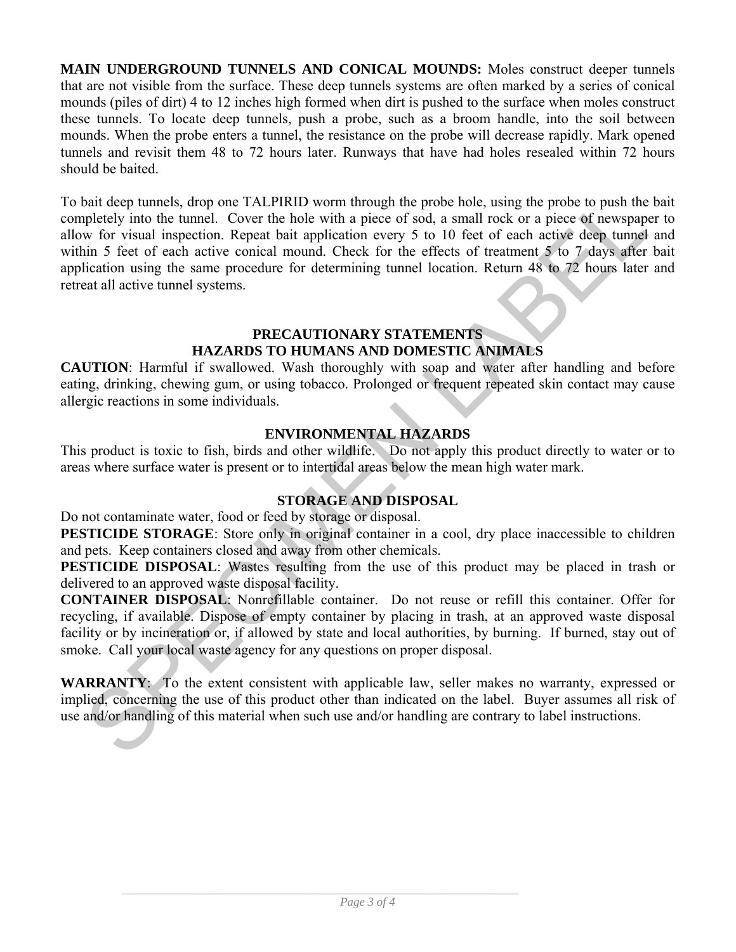**MAIN UNDERGROUND TUNNELS AND CONICAL MOUNDS:** Moles construct deeper tunnels that are not visible from the surface. These deep tunnels systems are often marked by a series of conical mounds (piles of dirt) 4 to 12 inches high formed when dirt is pushed to the surface when moles construct these tunnels. To locate deep tunnels, push a probe, such as a broom handle, into the soil between mounds. When the probe enters a tunnel, the resistance on the probe will decrease rapidly. Mark opened tunnels and revisit them 48 to 72 hours later. Runways that have had holes resealed within 72 hours should be baited.

biat dece tumels, drop one TALPIRID worm through the probe holel, using the probe to push the base<br>bipletely into the tumel. Cover the bole with a piece of sod, a small rock or a piece of rewspaper<br>we for visual inspecion To bait deep tunnels, drop one TALPIRID worm through the probe hole, using the probe to push the bait completely into the tunnel. Cover the hole with a piece of sod, a small rock or a piece of newspaper to allow for visual inspection. Repeat bait application every 5 to 10 feet of each active deep tunnel and within 5 feet of each active conical mound. Check for the effects of treatment 5 to 7 days after bait application using the same procedure for determining tunnel location. Return 48 to 72 hours later and retreat all active tunnel systems.

#### **PRECAUTIONARY STATEMENTS HAZARDS TO HUMANS AND DOMESTIC ANIMALS**

**CAUTION**: Harmful if swallowed. Wash thoroughly with soap and water after handling and before eating, drinking, chewing gum, or using tobacco. Prolonged or frequent repeated skin contact may cause allergic reactions in some individuals.

## **ENVIRONMENTAL HAZARDS**

This product is toxic to fish, birds and other wildlife. Do not apply this product directly to water or to areas where surface water is present or to intertidal areas below the mean high water mark.

## **STORAGE AND DISPOSAL**

Do not contaminate water, food or feed by storage or disposal.

**PESTICIDE STORAGE:** Store only in original container in a cool, dry place inaccessible to children and pets. Keep containers closed and away from other chemicals.

**PESTICIDE DISPOSAL:** Wastes resulting from the use of this product may be placed in trash or delivered to an approved waste disposal facility.

**CONTAINER DISPOSAL**: Nonrefillable container. Do not reuse or refill this container. Offer for recycling, if available. Dispose of empty container by placing in trash, at an approved waste disposal facility or by incineration or, if allowed by state and local authorities, by burning. If burned, stay out of smoke. Call your local waste agency for any questions on proper disposal.

**WARRANTY**: To the extent consistent with applicable law, seller makes no warranty, expressed or implied, concerning the use of this product other than indicated on the label. Buyer assumes all risk of use and/or handling of this material when such use and/or handling are contrary to label instructions.